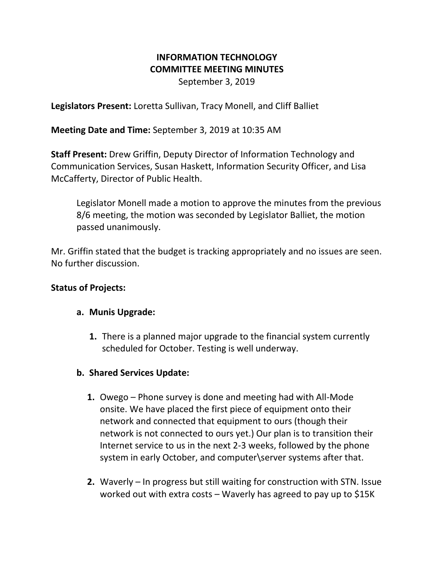# **INFORMATION TECHNOLOGY COMMITTEE MEETING MINUTES**

September 3, 2019

**Legislators Present:** Loretta Sullivan, Tracy Monell, and Cliff Balliet

**Meeting Date and Time:** September 3, 2019 at 10:35 AM

**Staff Present:** Drew Griffin, Deputy Director of Information Technology and Communication Services, Susan Haskett, Information Security Officer, and Lisa McCafferty, Director of Public Health.

Legislator Monell made a motion to approve the minutes from the previous 8/6 meeting, the motion was seconded by Legislator Balliet, the motion passed unanimously.

Mr. Griffin stated that the budget is tracking appropriately and no issues are seen. No further discussion.

# **Status of Projects:**

# **a. Munis Upgrade:**

**1.** There is a planned major upgrade to the financial system currently scheduled for October. Testing is well underway.

# **b. Shared Services Update:**

- **1.** Owego Phone survey is done and meeting had with All-Mode onsite. We have placed the first piece of equipment onto their network and connected that equipment to ours (though their network is not connected to ours yet.) Our plan is to transition their Internet service to us in the next 2-3 weeks, followed by the phone system in early October, and computer\server systems after that.
- **2.** Waverly In progress but still waiting for construction with STN. Issue worked out with extra costs – Waverly has agreed to pay up to \$15K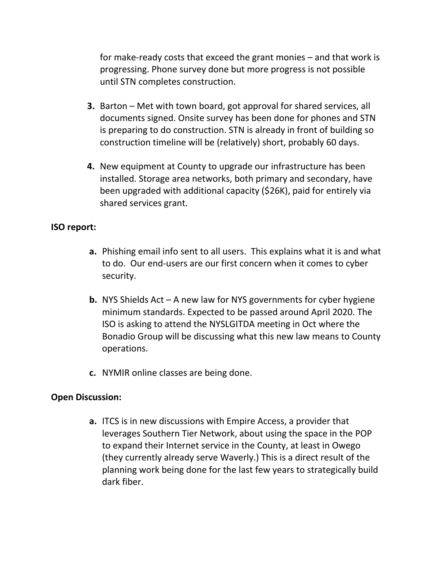for make-ready costs that exceed the grant monies – and that work is progressing. Phone survey done but more progress is not possible until STN completes construction.

- **3.** Barton Met with town board, got approval for shared services, all documents signed. Onsite survey has been done for phones and STN is preparing to do construction. STN is already in front of building so construction timeline will be (relatively) short, probably 60 days.
- **4.** New equipment at County to upgrade our infrastructure has been installed. Storage area networks, both primary and secondary, have been upgraded with additional capacity (\$26K), paid for entirely via shared services grant.

### **ISO report:**

- **a.** Phishing email info sent to all users. This explains what it is and what to do. Our end-users are our first concern when it comes to cyber security.
- **b.** NYS Shields Act A new law for NYS governments for cyber hygiene minimum standards. Expected to be passed around April 2020. The ISO is asking to attend the NYSLGITDA meeting in Oct where the Bonadio Group will be discussing what this new law means to County operations.
- **c.** NYMIR online classes are being done.

### **Open Discussion:**

**a.** ITCS is in new discussions with Empire Access, a provider that leverages Southern Tier Network, about using the space in the POP to expand their Internet service in the County, at least in Owego (they currently already serve Waverly.) This is a direct result of the planning work being done for the last few years to strategically build dark fiber.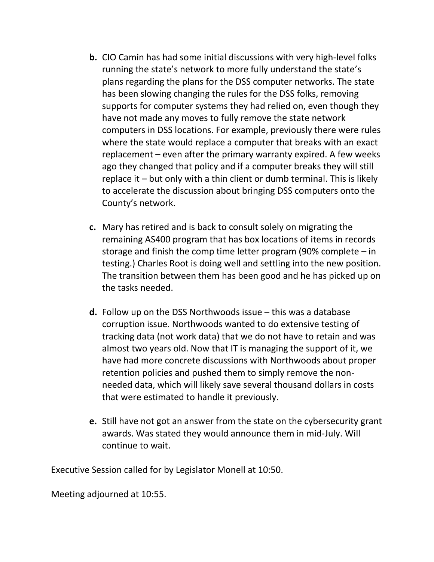- **b.** CIO Camin has had some initial discussions with very high-level folks running the state's network to more fully understand the state's plans regarding the plans for the DSS computer networks. The state has been slowing changing the rules for the DSS folks, removing supports for computer systems they had relied on, even though they have not made any moves to fully remove the state network computers in DSS locations. For example, previously there were rules where the state would replace a computer that breaks with an exact replacement – even after the primary warranty expired. A few weeks ago they changed that policy and if a computer breaks they will still replace it – but only with a thin client or dumb terminal. This is likely to accelerate the discussion about bringing DSS computers onto the County's network.
- **c.** Mary has retired and is back to consult solely on migrating the remaining AS400 program that has box locations of items in records storage and finish the comp time letter program (90% complete – in testing.) Charles Root is doing well and settling into the new position. The transition between them has been good and he has picked up on the tasks needed.
- **d.** Follow up on the DSS Northwoods issue this was a database corruption issue. Northwoods wanted to do extensive testing of tracking data (not work data) that we do not have to retain and was almost two years old. Now that IT is managing the support of it, we have had more concrete discussions with Northwoods about proper retention policies and pushed them to simply remove the nonneeded data, which will likely save several thousand dollars in costs that were estimated to handle it previously.
- **e.** Still have not got an answer from the state on the cybersecurity grant awards. Was stated they would announce them in mid-July. Will continue to wait.

Executive Session called for by Legislator Monell at 10:50.

Meeting adjourned at 10:55.